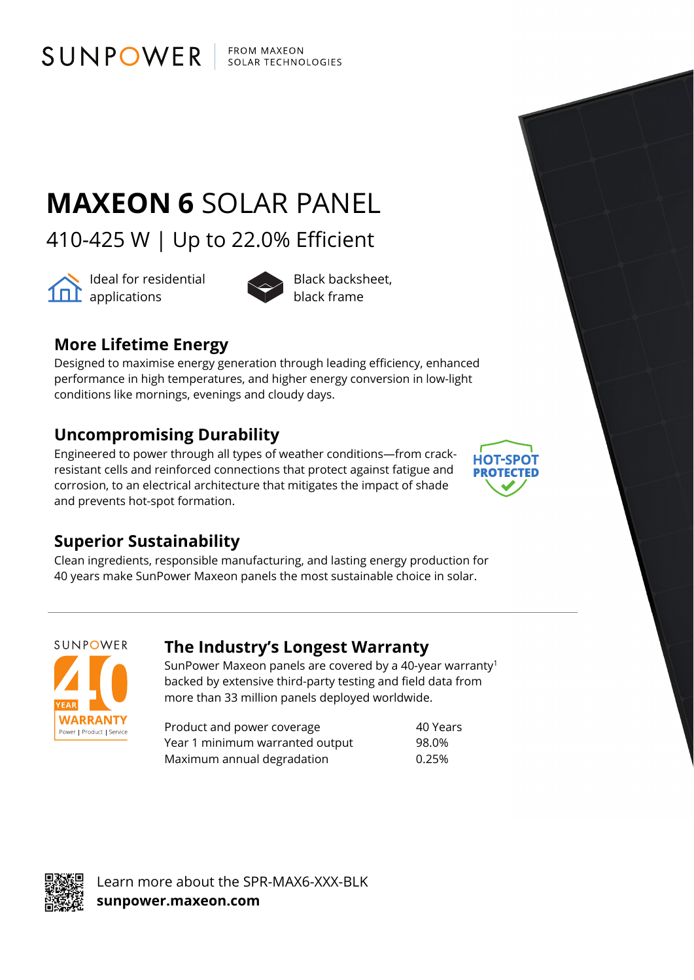**FROM MAXEON SOLAR TECHNOLOGIES** 

# **MAXEON 6** SOLAR PANEL

410-425 W | Up to 22.0% Efficient



Ideal for residential applications



black frame

## **More Lifetime Energy**

SUNPOWER

Designed to maximise energy generation through leading efficiency, enhanced performance in high temperatures, and higher energy conversion in low-light conditions like mornings, evenings and cloudy days.

## **Uncompromising Durability**

Engineered to power through all types of weather conditions—from crackresistant cells and reinforced connections that protect against fatigue and corrosion, to an electrical architecture that mitigates the impact of shade and prevents hot-spot formation.



#### **Superior Sustainability**

Clean ingredients, responsible manufacturing, and lasting energy production for 40 years make SunPower Maxeon panels the most sustainable choice in solar.

SUNPOWER **WARRANTY** Power | Product | Service

#### **The Industry's Longest Warranty**

SunPower Maxeon panels are covered by a 40-year warranty1 backed by extensive third-party testing and field data from more than 33 million panels deployed worldwide.

Product and power coverage and the 40 Years Year 1 minimum warranted output 98.0% Maximum annual degradation 6.25%



Learn more about the SPR-MAX6-XXX-BLK **sunpower.maxeon.com**